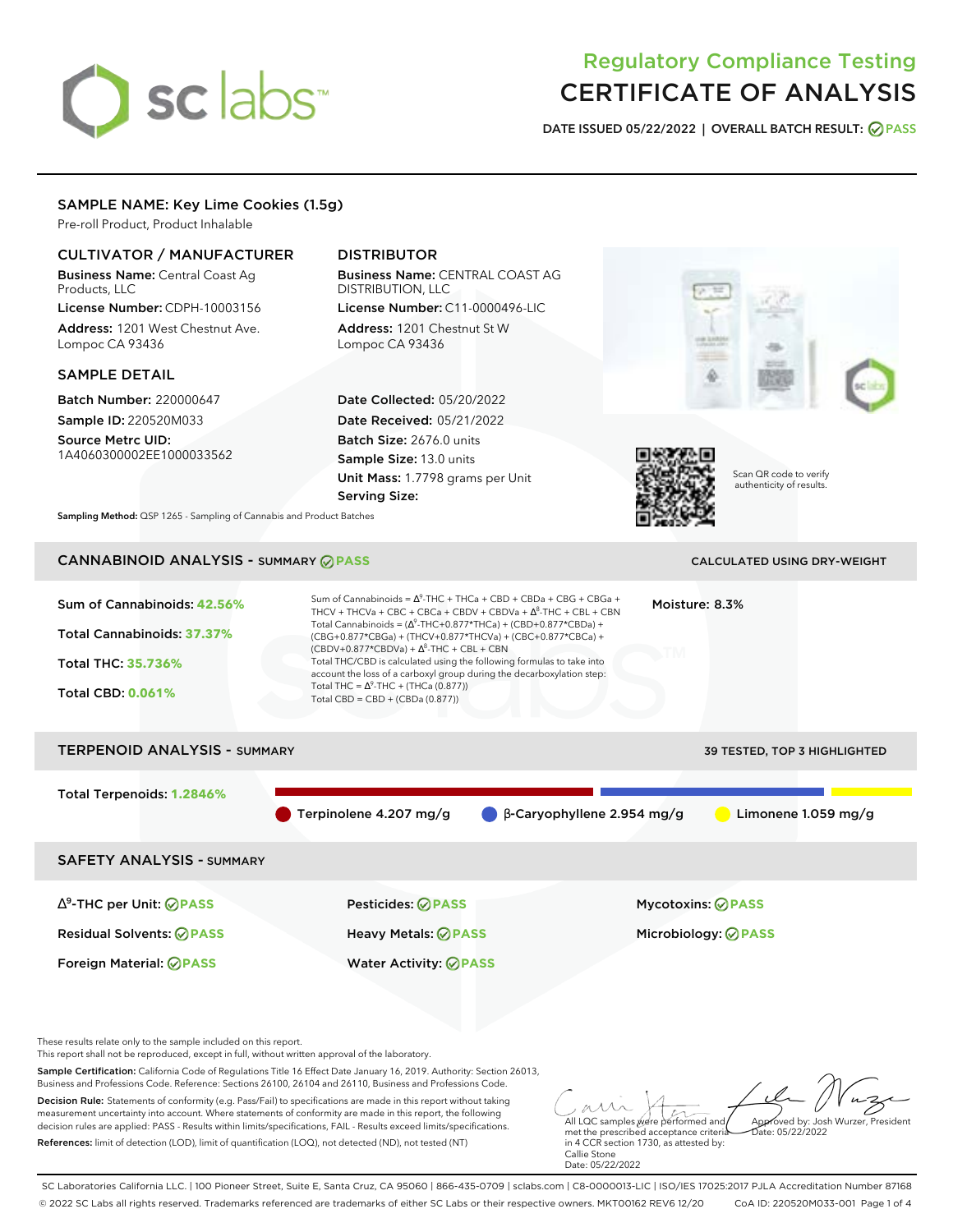# sclabs<sup>\*</sup>

# Regulatory Compliance Testing CERTIFICATE OF ANALYSIS

**DATE ISSUED 05/22/2022 | OVERALL BATCH RESULT: PASS**

# SAMPLE NAME: Key Lime Cookies (1.5g)

Pre-roll Product, Product Inhalable

# CULTIVATOR / MANUFACTURER

Business Name: Central Coast Ag Products, LLC License Number: CDPH-10003156

Address: 1201 West Chestnut Ave. Lompoc CA 93436

# SAMPLE DETAIL

Batch Number: 220000647 Sample ID: 220520M033

Source Metrc UID: 1A4060300002EE1000033562

# DISTRIBUTOR

Business Name: CENTRAL COAST AG DISTRIBUTION, LLC License Number: C11-0000496-LIC

Address: 1201 Chestnut St W Lompoc CA 93436

Date Collected: 05/20/2022 Date Received: 05/21/2022 Batch Size: 2676.0 units Sample Size: 13.0 units Unit Mass: 1.7798 grams per Unit Serving Size:





Scan QR code to verify authenticity of results.

**Sampling Method:** QSP 1265 - Sampling of Cannabis and Product Batches

# CANNABINOID ANALYSIS - SUMMARY **PASS** CALCULATED USING DRY-WEIGHT

| Sum of Cannabinoids: 42.56%<br>Total Cannabinoids: 37.37%<br>Total THC: 35.736%<br><b>Total CBD: 0.061%</b> | Sum of Cannabinoids = $\Delta^9$ -THC + THCa + CBD + CBDa + CBG + CBGa +<br>THCV + THCVa + CBC + CBCa + CBDV + CBDVa + $\Delta^8$ -THC + CBL + CBN<br>Total Cannabinoids = $(\Delta^9$ -THC+0.877*THCa) + (CBD+0.877*CBDa) +<br>(CBG+0.877*CBGa) + (THCV+0.877*THCVa) + (CBC+0.877*CBCa) +<br>$(CBDV+0.877*CBDVa) + \Delta^8$ -THC + CBL + CBN<br>Total THC/CBD is calculated using the following formulas to take into<br>account the loss of a carboxyl group during the decarboxylation step:<br>Total THC = $\Delta^9$ -THC + (THCa (0.877))<br>Total CBD = $CBD + (CBDa (0.877))$ | Moisture: 8.3%                      |
|-------------------------------------------------------------------------------------------------------------|----------------------------------------------------------------------------------------------------------------------------------------------------------------------------------------------------------------------------------------------------------------------------------------------------------------------------------------------------------------------------------------------------------------------------------------------------------------------------------------------------------------------------------------------------------------------------------------|-------------------------------------|
| <b>TERPENOID ANALYSIS - SUMMARY</b>                                                                         |                                                                                                                                                                                                                                                                                                                                                                                                                                                                                                                                                                                        | <b>39 TESTED, TOP 3 HIGHLIGHTED</b> |
| Total Terpenoids: 1.2846%                                                                                   | Terpinolene 4.207 mg/g<br>$\beta$ -Caryophyllene 2.954 mg/g                                                                                                                                                                                                                                                                                                                                                                                                                                                                                                                            | Limonene $1.059$ mg/g               |

SAFETY ANALYSIS - SUMMARY

∆ 9 -THC per Unit: **PASS** Pesticides: **PASS** Mycotoxins: **PASS** Residual Solvents: **PASS** Heavy Metals: **PASS** Microbiology: **PASS**

Foreign Material: **PASS** Water Activity: **PASS**

These results relate only to the sample included on this report.

This report shall not be reproduced, except in full, without written approval of the laboratory.

Sample Certification: California Code of Regulations Title 16 Effect Date January 16, 2019. Authority: Section 26013, Business and Professions Code. Reference: Sections 26100, 26104 and 26110, Business and Professions Code.

Decision Rule: Statements of conformity (e.g. Pass/Fail) to specifications are made in this report without taking measurement uncertainty into account. Where statements of conformity are made in this report, the following decision rules are applied: PASS - Results within limits/specifications, FAIL - Results exceed limits/specifications. References: limit of detection (LOD), limit of quantification (LOQ), not detected (ND), not tested (NT)

All LQC samples were performed and Approved by: Josh Wurzer, President  $hat: 05/22/2022$ 

met the prescribed acceptance criteria in 4 CCR section 1730, as attested by: Callie Stone Date: 05/22/2022

SC Laboratories California LLC. | 100 Pioneer Street, Suite E, Santa Cruz, CA 95060 | 866-435-0709 | sclabs.com | C8-0000013-LIC | ISO/IES 17025:2017 PJLA Accreditation Number 87168 © 2022 SC Labs all rights reserved. Trademarks referenced are trademarks of either SC Labs or their respective owners. MKT00162 REV6 12/20 CoA ID: 220520M033-001 Page 1 of 4